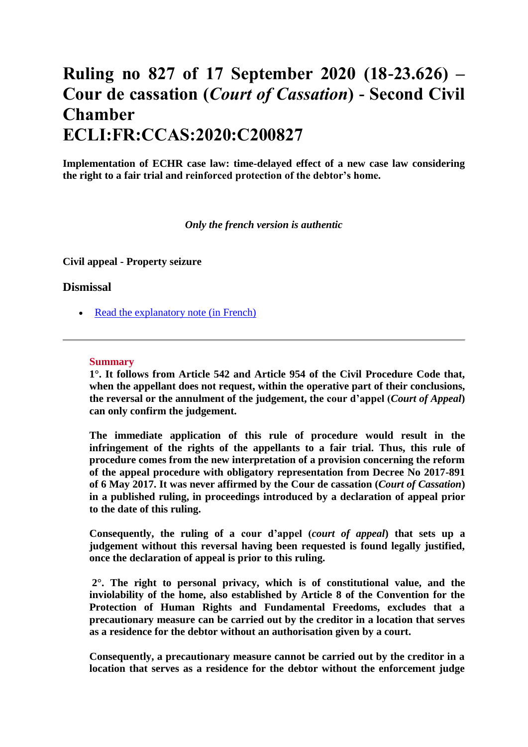# **Ruling no 827 of 17 September 2020 (18-23.626) – Cour de cassation (***Court of Cassation***) - Second Civil Chamber ECLI:FR:CCAS:2020:C200827**

**Implementation of ECHR case law: time-delayed effect of a new case law considering the right to a fair trial and reinforced protection of the debtor's home.**

#### *Only the french version is authentic*

**Civil appeal - Property seizure** 

#### **Dismissal**

• [Read the explanatory note \(in French\)](https://www.courdecassation.fr/45516)

#### **Summary**

**1°. It follows from Article 542 and Article 954 of the Civil Procedure Code that, when the appellant does not request, within the operative part of their conclusions, the reversal or the annulment of the judgement, the cour d'appel (***Court of Appeal***) can only confirm the judgement.**

**The immediate application of this rule of procedure would result in the infringement of the rights of the appellants to a fair trial. Thus, this rule of procedure comes from the new interpretation of a provision concerning the reform of the appeal procedure with obligatory representation from Decree No 2017-891 of 6 May 2017. It was never affirmed by the Cour de cassation (***Court of Cassation***) in a published ruling, in proceedings introduced by a declaration of appeal prior to the date of this ruling.**

**Consequently, the ruling of a cour d'appel (***court of appeal***) that sets up a judgement without this reversal having been requested is found legally justified, once the declaration of appeal is prior to this ruling.**

**2°. The right to personal privacy, which is of constitutional value, and the inviolability of the home, also established by Article 8 of the Convention for the Protection of Human Rights and Fundamental Freedoms, excludes that a precautionary measure can be carried out by the creditor in a location that serves as a residence for the debtor without an authorisation given by a court.**

**Consequently, a precautionary measure cannot be carried out by the creditor in a location that serves as a residence for the debtor without the enforcement judge**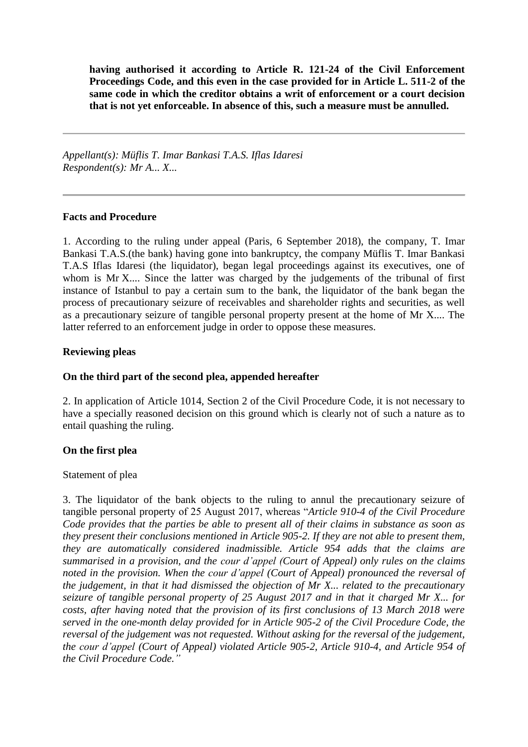**having authorised it according to Article R. 121-24 of the Civil Enforcement Proceedings Code, and this even in the case provided for in Article L. 511-2 of the same code in which the creditor obtains a writ of enforcement or a court decision that is not yet enforceable. In absence of this, such a measure must be annulled.**

*Appellant(s): Müflis T. Imar Bankasi T.A.S. Iflas Idaresi Respondent(s): Mr A... X...* 

#### **Facts and Procedure**

1. According to the ruling under appeal (Paris, 6 September 2018), the company, T. Imar Bankasi T.A.S.(the bank) having gone into bankruptcy, the company Müflis T. Imar Bankasi T.A.S Iflas Idaresi (the liquidator), began legal proceedings against its executives, one of whom is Mr X.... Since the latter was charged by the judgements of the tribunal of first instance of Istanbul to pay a certain sum to the bank, the liquidator of the bank began the process of precautionary seizure of receivables and shareholder rights and securities, as well as a precautionary seizure of tangible personal property present at the home of Mr X.... The latter referred to an enforcement judge in order to oppose these measures.

#### **Reviewing pleas**

### **On the third part of the second plea, appended hereafter**

2. In application of Article 1014, Section 2 of the Civil Procedure Code, it is not necessary to have a specially reasoned decision on this ground which is clearly not of such a nature as to entail quashing the ruling.

#### **On the first plea**

#### Statement of plea

3. The liquidator of the bank objects to the ruling to annul the precautionary seizure of tangible personal property of 25 August 2017, whereas "*Article 910-4 of the Civil Procedure Code provides that the parties be able to present all of their claims in substance as soon as they present their conclusions mentioned in Article 905-2. If they are not able to present them, they are automatically considered inadmissible. Article 954 adds that the claims are summarised in a provision, and the cour d'appel (Court of Appeal) only rules on the claims noted in the provision. When the cour d'appel (Court of Appeal) pronounced the reversal of the judgement, in that it had dismissed the objection of Mr X... related to the precautionary seizure of tangible personal property of 25 August 2017 and in that it charged Mr X... for costs, after having noted that the provision of its first conclusions of 13 March 2018 were served in the one-month delay provided for in Article 905-2 of the Civil Procedure Code, the reversal of the judgement was not requested. Without asking for the reversal of the judgement, the cour d'appel (Court of Appeal) violated Article 905-2, Article 910-4, and Article 954 of the Civil Procedure Code."*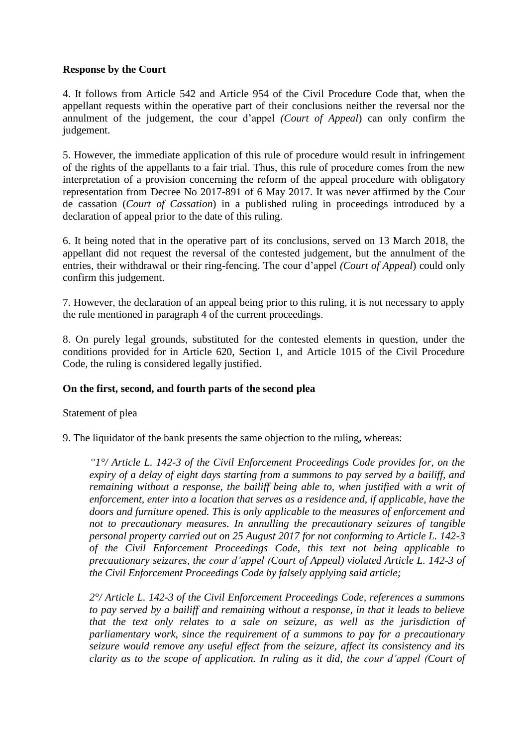### **Response by the Court**

4. It follows from Article 542 and Article 954 of the Civil Procedure Code that, when the appellant requests within the operative part of their conclusions neither the reversal nor the annulment of the judgement, the cour d'appel *(Court of Appeal*) can only confirm the judgement.

5. However, the immediate application of this rule of procedure would result in infringement of the rights of the appellants to a fair trial. Thus, this rule of procedure comes from the new interpretation of a provision concerning the reform of the appeal procedure with obligatory representation from Decree No 2017-891 of 6 May 2017. It was never affirmed by the Cour de cassation (*Court of Cassation*) in a published ruling in proceedings introduced by a declaration of appeal prior to the date of this ruling.

6. It being noted that in the operative part of its conclusions, served on 13 March 2018, the appellant did not request the reversal of the contested judgement, but the annulment of the entries, their withdrawal or their ring-fencing. The cour d'appel *(Court of Appeal*) could only confirm this judgement.

7. However, the declaration of an appeal being prior to this ruling, it is not necessary to apply the rule mentioned in paragraph 4 of the current proceedings.

8. On purely legal grounds, substituted for the contested elements in question, under the conditions provided for in Article 620, Section 1, and Article 1015 of the Civil Procedure Code, the ruling is considered legally justified.

#### **On the first, second, and fourth parts of the second plea**

#### Statement of plea

9. The liquidator of the bank presents the same objection to the ruling, whereas:

*"1°/ Article L. 142-3 of the Civil Enforcement Proceedings Code provides for, on the expiry of a delay of eight days starting from a summons to pay served by a bailiff, and remaining without a response, the bailiff being able to, when justified with a writ of enforcement, enter into a location that serves as a residence and, if applicable, have the doors and furniture opened. This is only applicable to the measures of enforcement and not to precautionary measures. In annulling the precautionary seizures of tangible personal property carried out on 25 August 2017 for not conforming to Article L. 142-3 of the Civil Enforcement Proceedings Code, this text not being applicable to precautionary seizures, the cour d'appel (Court of Appeal) violated Article L. 142-3 of the Civil Enforcement Proceedings Code by falsely applying said article;*

*2°/ Article L. 142-3 of the Civil Enforcement Proceedings Code, references a summons to pay served by a bailiff and remaining without a response, in that it leads to believe that the text only relates to a sale on seizure, as well as the jurisdiction of parliamentary work, since the requirement of a summons to pay for a precautionary seizure would remove any useful effect from the seizure, affect its consistency and its clarity as to the scope of application. In ruling as it did, the cour d'appel (Court of*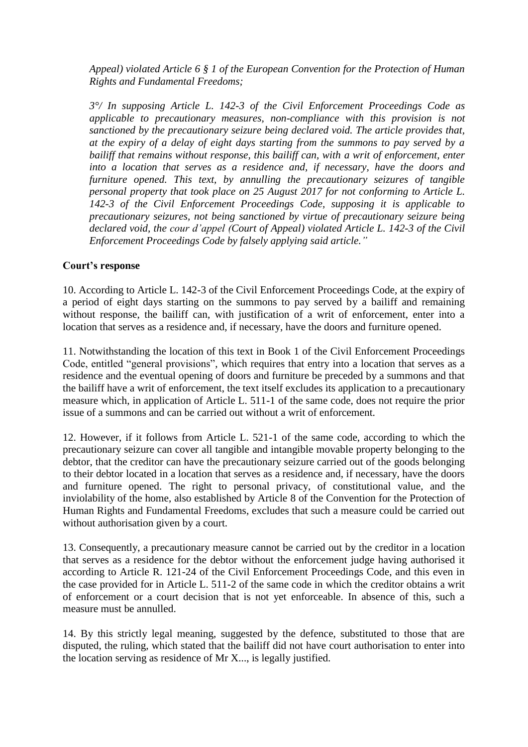*Appeal) violated Article 6 § 1 of the European Convention for the Protection of Human Rights and Fundamental Freedoms;*

*3°/ In supposing Article L. 142-3 of the Civil Enforcement Proceedings Code as applicable to precautionary measures, non-compliance with this provision is not sanctioned by the precautionary seizure being declared void. The article provides that, at the expiry of a delay of eight days starting from the summons to pay served by a bailiff that remains without response, this bailiff can, with a writ of enforcement, enter into a location that serves as a residence and, if necessary, have the doors and furniture opened. This text, by annulling the precautionary seizures of tangible personal property that took place on 25 August 2017 for not conforming to Article L. 142-3 of the Civil Enforcement Proceedings Code, supposing it is applicable to precautionary seizures, not being sanctioned by virtue of precautionary seizure being declared void, the cour d'appel (Court of Appeal) violated Article L. 142-3 of the Civil Enforcement Proceedings Code by falsely applying said article."*

#### **Court's response**

10. According to Article L. 142-3 of the Civil Enforcement Proceedings Code, at the expiry of a period of eight days starting on the summons to pay served by a bailiff and remaining without response, the bailiff can, with justification of a writ of enforcement, enter into a location that serves as a residence and, if necessary, have the doors and furniture opened.

11. Notwithstanding the location of this text in Book 1 of the Civil Enforcement Proceedings Code, entitled "general provisions", which requires that entry into a location that serves as a residence and the eventual opening of doors and furniture be preceded by a summons and that the bailiff have a writ of enforcement, the text itself excludes its application to a precautionary measure which, in application of Article L. 511-1 of the same code, does not require the prior issue of a summons and can be carried out without a writ of enforcement.

12. However, if it follows from Article L. 521-1 of the same code, according to which the precautionary seizure can cover all tangible and intangible movable property belonging to the debtor, that the creditor can have the precautionary seizure carried out of the goods belonging to their debtor located in a location that serves as a residence and, if necessary, have the doors and furniture opened. The right to personal privacy, of constitutional value, and the inviolability of the home, also established by Article 8 of the Convention for the Protection of Human Rights and Fundamental Freedoms, excludes that such a measure could be carried out without authorisation given by a court.

13. Consequently, a precautionary measure cannot be carried out by the creditor in a location that serves as a residence for the debtor without the enforcement judge having authorised it according to Article R. 121-24 of the Civil Enforcement Proceedings Code, and this even in the case provided for in Article L. 511-2 of the same code in which the creditor obtains a writ of enforcement or a court decision that is not yet enforceable. In absence of this, such a measure must be annulled.

14. By this strictly legal meaning, suggested by the defence, substituted to those that are disputed, the ruling, which stated that the bailiff did not have court authorisation to enter into the location serving as residence of Mr X..., is legally justified.